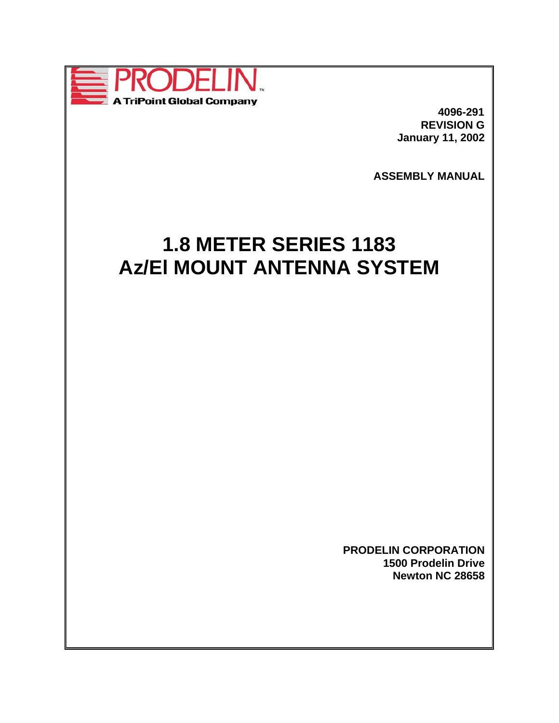

**4096-291 REVISION G January 11, 2002**

**ASSEMBLY MANUAL**

# **1.8 METER SERIES 1183 Az/El MOUNT ANTENNA SYSTEM**

**PRODELIN CORPORATION 1500 Prodelin Drive Newton NC 28658**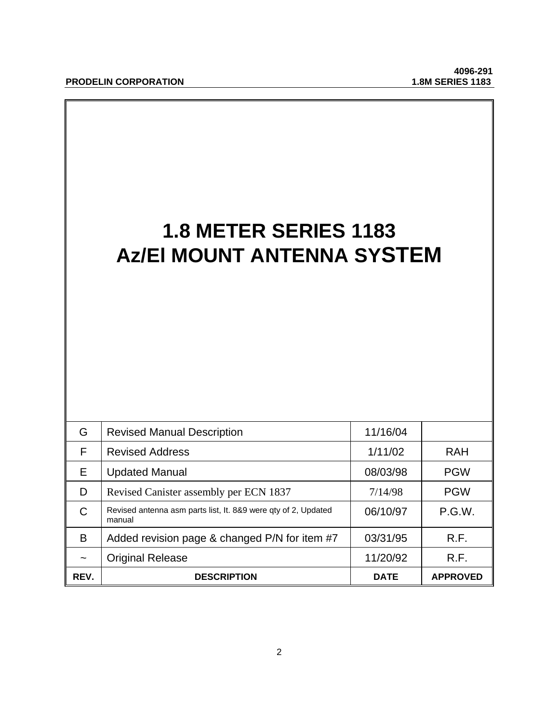|              | <b>1.8 METER SERIES 1183</b><br>Az/EI MOUNT ANTENNA SYSTEM               |             |                 |
|--------------|--------------------------------------------------------------------------|-------------|-----------------|
| G            | <b>Revised Manual Description</b>                                        | 11/16/04    |                 |
| F            | <b>Revised Address</b>                                                   | 1/11/02     | <b>RAH</b>      |
| E            | <b>Updated Manual</b>                                                    | 08/03/98    | <b>PGW</b>      |
| D            | Revised Canister assembly per ECN 1837                                   | 7/14/98     | <b>PGW</b>      |
| $\mathsf{C}$ | Revised antenna asm parts list, It. 8&9 were qty of 2, Updated<br>manual | 06/10/97    | P.G.W.          |
| B            | Added revision page & changed P/N for item #7                            | 03/31/95    | R.F.            |
|              | <b>Original Release</b>                                                  | 11/20/92    | R.F.            |
| REV.         | <b>DESCRIPTION</b>                                                       | <b>DATE</b> | <b>APPROVED</b> |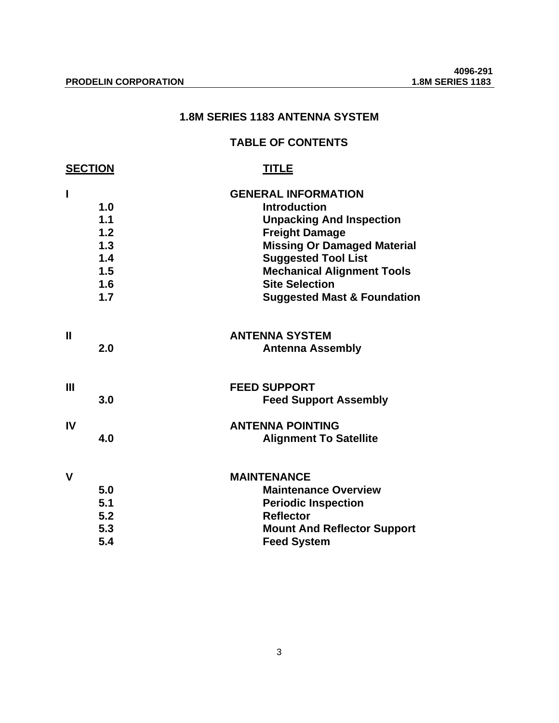#### **1.8M SERIES 1183 ANTENNA SYSTEM**

### **TABLE OF CONTENTS**

# **SECTION TITLE I GENERAL INFORMATION 1.0 Introduction 1.1 Unpacking And Inspection 1.2 Freight Damage 1.3 Missing Or Damaged Material 1.4 Suggested Tool List 1.5 Mechanical Alignment Tools 1.6 Site Selection 1.7 Suggested Mast & Foundation II** ANTENNA SYSTEM **2.0 Antenna Assembly III** FEED SUPPORT **3.0 Feed Support Assembly IV ANTENNA POINTING 4.0 Alignment To Satellite V** MAINTENANCE **5.0 Maintenance Overview 5.1 Periodic Inspection 5.2 Reflector 5.3 Mount And Reflector Support 5.4 Feed System**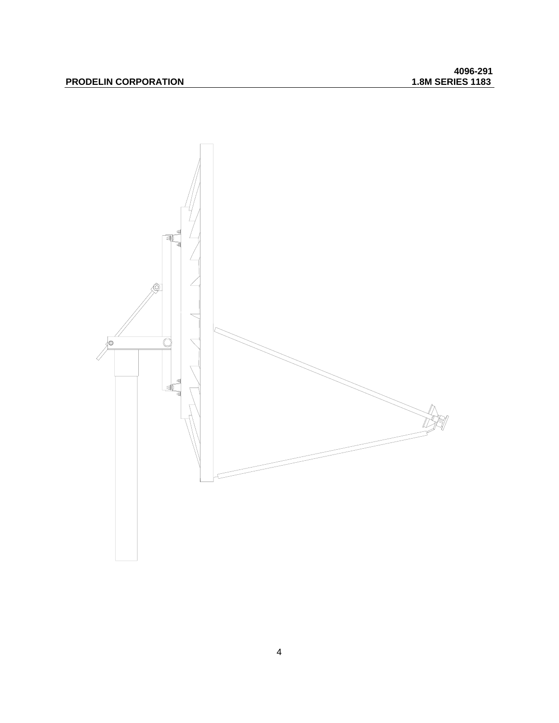### **PRODELIN CORPORATION**

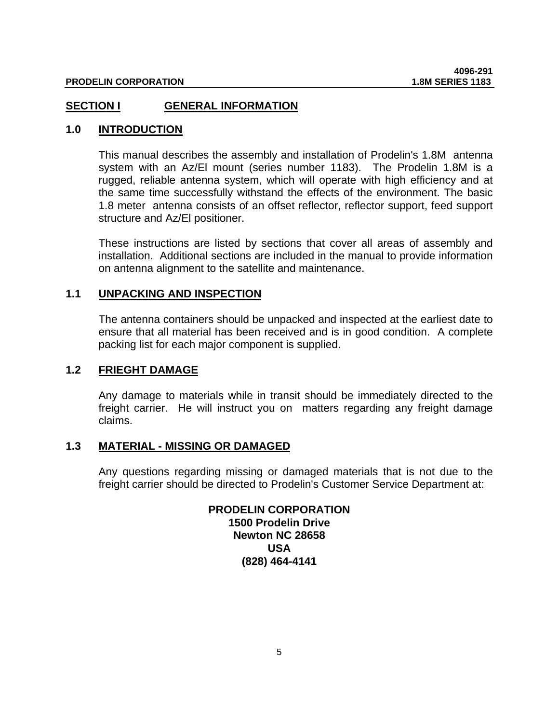### **SECTION I GENERAL INFORMATION**

### **1.0 INTRODUCTION**

This manual describes the assembly and installation of Prodelin's 1.8M antenna system with an Az/El mount (series number 1183). The Prodelin 1.8M is a rugged, reliable antenna system, which will operate with high efficiency and at the same time successfully withstand the effects of the environment. The basic 1.8 meter antenna consists of an offset reflector, reflector support, feed support structure and Az/El positioner.

These instructions are listed by sections that cover all areas of assembly and installation. Additional sections are included in the manual to provide information on antenna alignment to the satellite and maintenance.

### **1.1 UNPACKING AND INSPECTION**

The antenna containers should be unpacked and inspected at the earliest date to ensure that all material has been received and is in good condition. A complete packing list for each major component is supplied.

### **1.2 FRIEGHT DAMAGE**

Any damage to materials while in transit should be immediately directed to the freight carrier. He will instruct you on matters regarding any freight damage claims.

### **1.3 MATERIAL - MISSING OR DAMAGED**

Any questions regarding missing or damaged materials that is not due to the freight carrier should be directed to Prodelin's Customer Service Department at:

> **PRODELIN CORPORATION 1500 Prodelin Drive Newton NC 28658 USA (828) 464-4141**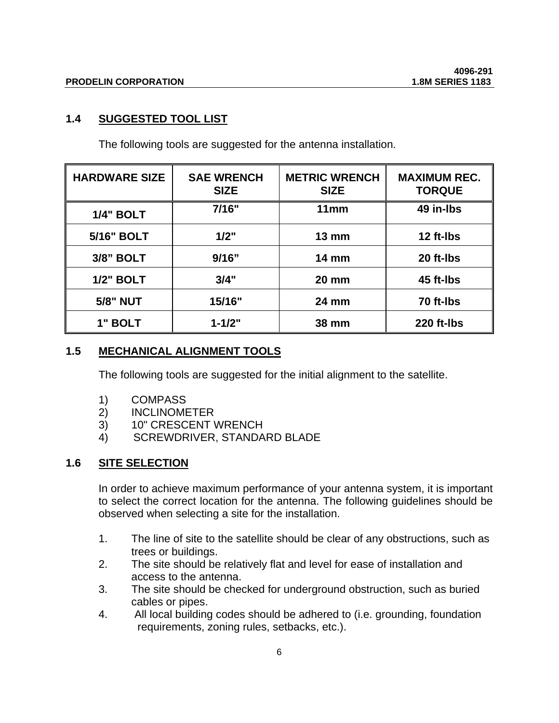### **1.4 SUGGESTED TOOL LIST**

The following tools are suggested for the antenna installation.

| <b>HARDWARE SIZE</b> | <b>SAE WRENCH</b><br><b>SIZE</b> | <b>METRIC WRENCH</b><br><b>SIZE</b> | <b>MAXIMUM REC.</b><br><b>TORQUE</b> |
|----------------------|----------------------------------|-------------------------------------|--------------------------------------|
| <b>1/4" BOLT</b>     | 7/16"                            | 11mm                                | 49 in-Ibs                            |
| <b>5/16" BOLT</b>    | 1/2"                             | $13 \text{ mm}$                     | 12 ft-lbs                            |
| <b>3/8" BOLT</b>     | 9/16"                            | <b>14 mm</b>                        | 20 ft-lbs                            |
| <b>1/2" BOLT</b>     | 3/4"                             | <b>20 mm</b>                        | 45 ft-lbs                            |
| <b>5/8" NUT</b>      | 15/16"                           | 24 mm                               | 70 ft-lbs                            |
| 1" BOLT              | $1 - 1/2"$                       | <b>38 mm</b>                        | 220 ft-lbs                           |

### **1.5 MECHANICAL ALIGNMENT TOOLS**

The following tools are suggested for the initial alignment to the satellite.

- 1) COMPASS
- 2) INCLINOMETER
- 3) 10" CRESCENT WRENCH
- 4) SCREWDRIVER, STANDARD BLADE

### **1.6 SITE SELECTION**

In order to achieve maximum performance of your antenna system, it is important to select the correct location for the antenna. The following guidelines should be observed when selecting a site for the installation.

- 1. The line of site to the satellite should be clear of any obstructions, such as trees or buildings.
- 2. The site should be relatively flat and level for ease of installation and access to the antenna.
- 3. The site should be checked for underground obstruction, such as buried cables or pipes.
- 4. All local building codes should be adhered to (i.e. grounding, foundation requirements, zoning rules, setbacks, etc.).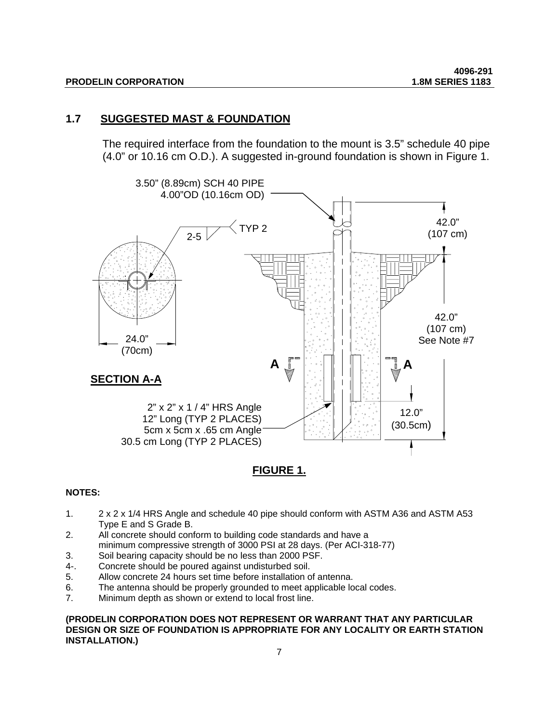### **1.7 SUGGESTED MAST & FOUNDATION**

The required interface from the foundation to the mount is 3.5" schedule 40 pipe (4.0" or 10.16 cm O.D.). A suggested in-ground foundation is shown in Figure 1.



#### **NOTES:**

- 1. 2 x 2 x 1/4 HRS Angle and schedule 40 pipe should conform with ASTM A36 and ASTM A53 Type E and S Grade B.
- 2. All concrete should conform to building code standards and have a minimum compressive strength of 3000 PSI at 28 days. (Per ACI-318-77)
- 3. Soil bearing capacity should be no less than 2000 PSF.
- 4-. Concrete should be poured against undisturbed soil.
- 5. Allow concrete 24 hours set time before installation of antenna.
- 6. The antenna should be properly grounded to meet applicable local codes.
- 7. Minimum depth as shown or extend to local frost line.

**(PRODELIN CORPORATION DOES NOT REPRESENT OR WARRANT THAT ANY PARTICULAR DESIGN OR SIZE OF FOUNDATION IS APPROPRIATE FOR ANY LOCALITY OR EARTH STATION INSTALLATION.)**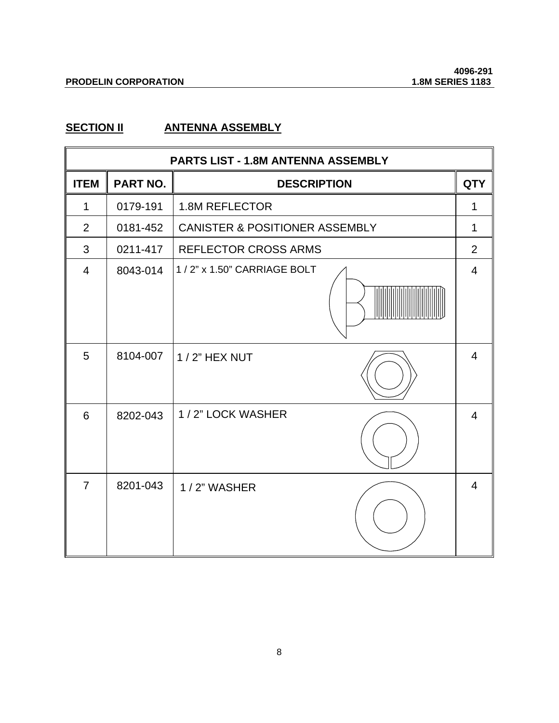## PRODELIN CORPORATION **1.8 SERIES 100 SERIES 1183**

Ħ.

# **SECTION II ANTENNA ASSEMBLY**

| <b>PARTS LIST - 1.8M ANTENNA ASSEMBLY</b> |                 |                                           |                |
|-------------------------------------------|-----------------|-------------------------------------------|----------------|
| <b>ITEM</b>                               | <b>PART NO.</b> | <b>DESCRIPTION</b>                        | <b>QTY</b>     |
| $\mathbf{1}$                              | 0179-191        | <b>1.8M REFLECTOR</b>                     | 1              |
| $\overline{2}$                            | 0181-452        | <b>CANISTER &amp; POSITIONER ASSEMBLY</b> | $\mathbf 1$    |
| 3                                         | 0211-417        | <b>REFLECTOR CROSS ARMS</b>               | $\overline{2}$ |
| $\overline{4}$                            | 8043-014        | 1 / 2" x 1.50" CARRIAGE BOLT              | $\overline{4}$ |
| 5                                         | 8104-007        | 1 / 2" HEX NUT                            | 4              |
| 6                                         | 8202-043        | 1/2" LOCK WASHER                          | $\overline{4}$ |
| $\overline{7}$                            | 8201-043        | 1/2" WASHER                               | $\overline{4}$ |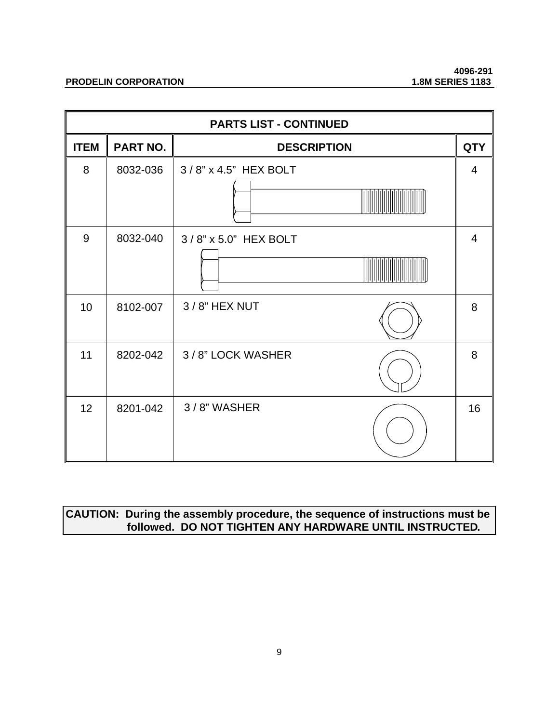### **PRODELIN CORPORATION**

| PARTS LIST - CONTINUED |          |                      |                |
|------------------------|----------|----------------------|----------------|
| <b>ITEM</b>            | PART NO. | <b>DESCRIPTION</b>   | <b>QTY</b>     |
| 8                      | 8032-036 | 3/8" x 4.5" HEX BOLT | $\overline{4}$ |
| 9                      | 8032-040 | 3/8" x 5.0" HEX BOLT | 4              |
| 10                     | 8102-007 | 3 / 8" HEX NUT       | 8              |
| 11                     | 8202-042 | 3/8" LOCK WASHER     | 8              |
| 12                     | 8201-042 | 3 / 8" WASHER        | 16             |

### **CAUTION: During the assembly procedure, the sequence of instructions must be followed. DO NOT TIGHTEN ANY HARDWARE UNTIL INSTRUCTED.**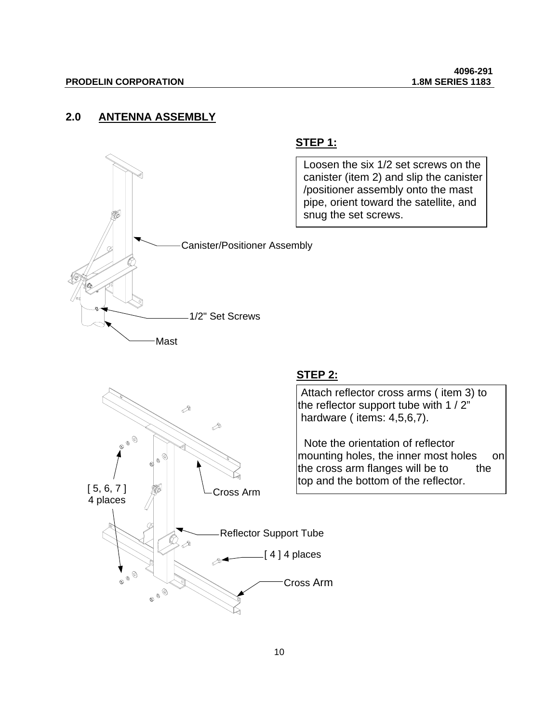### **2.0 ANTENNA ASSEMBLY**



### **STEP 1:**

10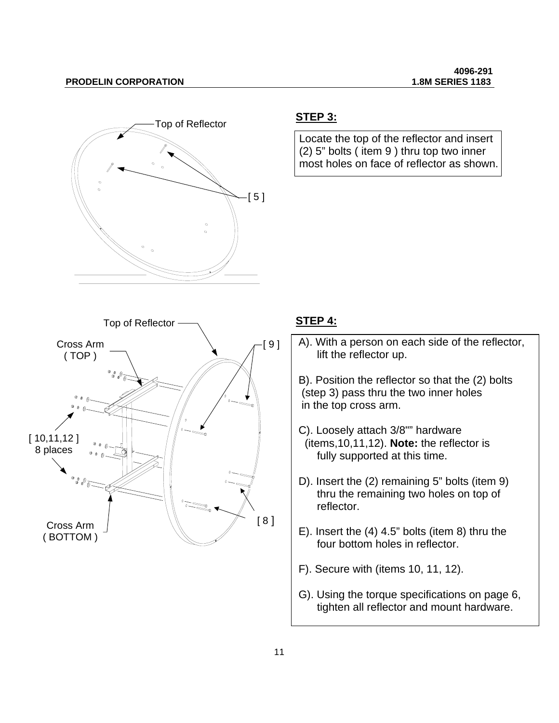

# Top of Reflector Cross Arm ( TOP ) Cross Arm ( BOTTOM ) [ 10,11,12 ] 8 places [ 8 ] [ 9 ]

### **STEP 3:**

 Locate the top of the reflector and insert (2) 5" bolts ( item 9 ) thru top two inner most holes on face of reflector as shown.

### **STEP 4:**

- A). With a person on each side of the reflector, lift the reflector up.
- B). Position the reflector so that the (2) bolts (step 3) pass thru the two inner holes in the top cross arm.
- C). Loosely attach 3/8"" hardware (items,10,11,12). **Note:** the reflector is fully supported at this time.
- D). Insert the (2) remaining 5" bolts (item 9) thru the remaining two holes on top of reflector.
- E). Insert the (4) 4.5" bolts (item 8) thru the four bottom holes in reflector.
- F). Secure with (items 10, 11, 12).
- G). Using the torque specifications on page 6, tighten all reflector and mount hardware.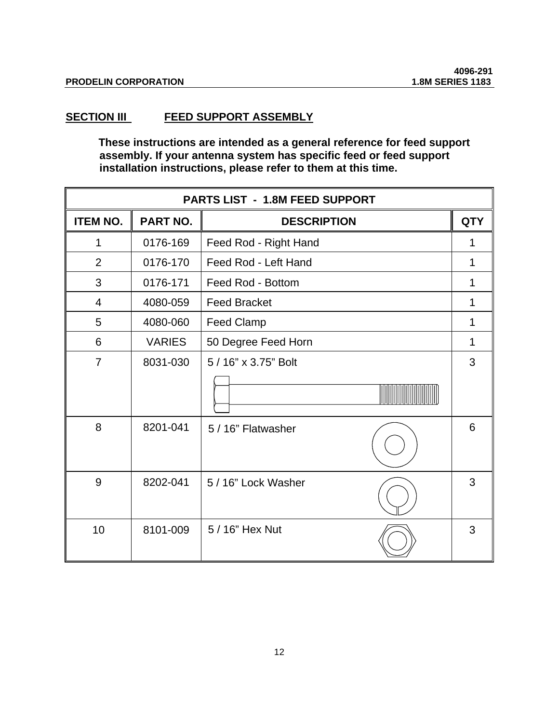# **SECTION III FEED SUPPORT ASSEMBLY**

**These instructions are intended as a general reference for feed support assembly. If your antenna system has specific feed or feed support installation instructions, please refer to them at this time.**

| <b>PARTS LIST - 1.8M FEED SUPPORT</b> |                 |                       |            |
|---------------------------------------|-----------------|-----------------------|------------|
| <b>ITEM NO.</b>                       | <b>PART NO.</b> | <b>DESCRIPTION</b>    | <b>QTY</b> |
| 1                                     | 0176-169        | Feed Rod - Right Hand | 1          |
| $\overline{2}$                        | 0176-170        | Feed Rod - Left Hand  | 1          |
| 3                                     | 0176-171        | Feed Rod - Bottom     | 1          |
| 4                                     | 4080-059        | <b>Feed Bracket</b>   | 1          |
| 5                                     | 4080-060        | <b>Feed Clamp</b>     | 1          |
| 6                                     | <b>VARIES</b>   | 50 Degree Feed Horn   | 1          |
| $\overline{7}$                        | 8031-030        | 5 / 16" x 3.75" Bolt  | 3          |
|                                       |                 |                       |            |
| 8                                     | 8201-041        | 5 / 16" Flatwasher    | 6          |
| 9                                     | 8202-041        | 5 / 16" Lock Washer   | 3          |
| 10                                    | 8101-009        | 5 / 16" Hex Nut       | 3          |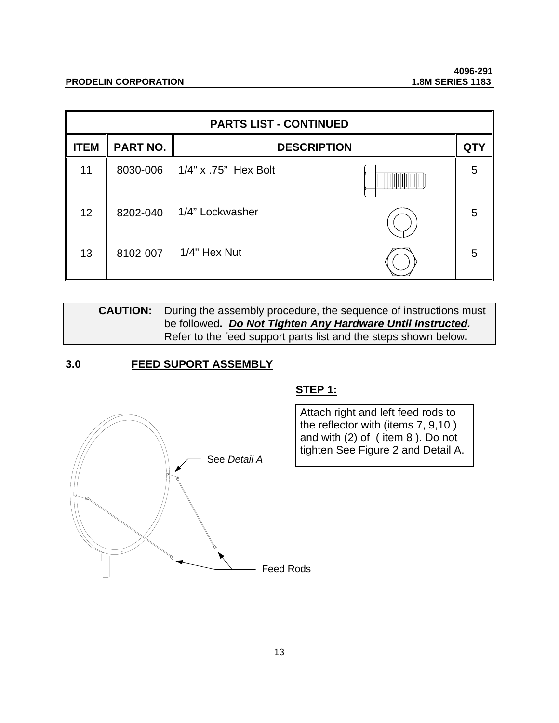### **PRODELIN CORPORATION**

| <b>PARTS LIST - CONTINUED</b> |                 |                      |  |     |
|-------------------------------|-----------------|----------------------|--|-----|
| <b>ITEM</b>                   | <b>PART NO.</b> | <b>DESCRIPTION</b>   |  | QTY |
| 11                            | 8030-006        | 1/4" x .75" Hex Bolt |  | 5   |
| 12                            | 8202-040        | 1/4" Lockwasher      |  | 5   |
| 13                            | 8102-007        | 1/4" Hex Nut         |  | 5   |

| <b>CAUTION:</b> During the assembly procedure, the sequence of instructions must |  |  |
|----------------------------------------------------------------------------------|--|--|
| be followed. Do Not Tighten Any Hardware Until Instructed.                       |  |  |
| Refer to the feed support parts list and the steps shown below.                  |  |  |

## **3.0 FEED SUPORT ASSEMBLY**



# **STEP 1:**

 Attach right and left feed rods to the reflector with (items 7, 9,10 ) and with (2) of ( item 8 ). Do not tighten See Figure 2 and Detail A.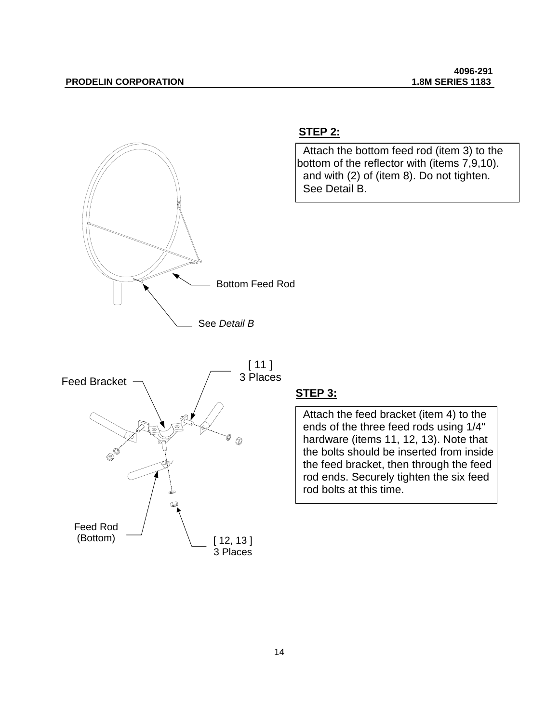

### **STEP 2:**

 Attach the bottom feed rod (item 3) to the bottom of the reflector with (items 7,9,10). and with (2) of (item 8). Do not tighten. See Detail B.



### **STEP 3:**

 Attach the feed bracket (item 4) to the ends of the three feed rods using 1/4" hardware (items 11, 12, 13). Note that the bolts should be inserted from inside the feed bracket, then through the feed rod ends. Securely tighten the six feed rod bolts at this time.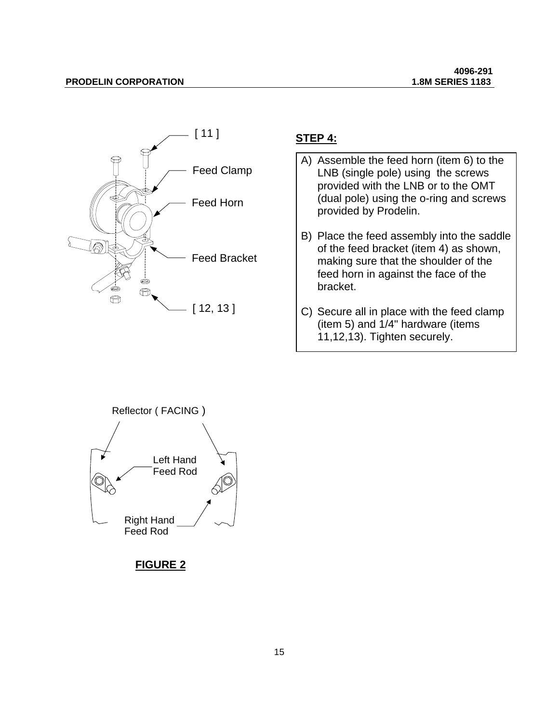

### **STEP 4:**

- A) Assemble the feed horn (item 6) to the LNB (single pole) using the screws provided with the LNB or to the OMT (dual pole) using the o-ring and screws provided by Prodelin.
- B) Place the feed assembly into the saddle of the feed bracket (item 4) as shown, making sure that the shoulder of the feed horn in against the face of the bracket.
- C) Secure all in place with the feed clamp (item 5) and 1/4" hardware (items 11,12,13). Tighten securely.



**FIGURE 2**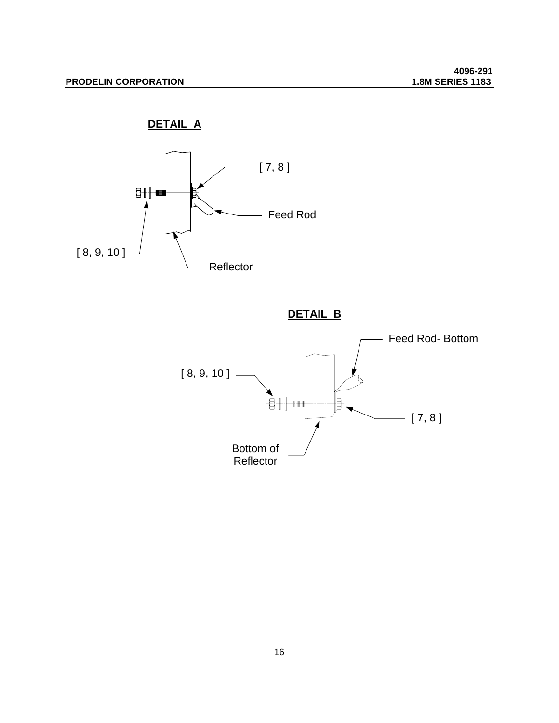



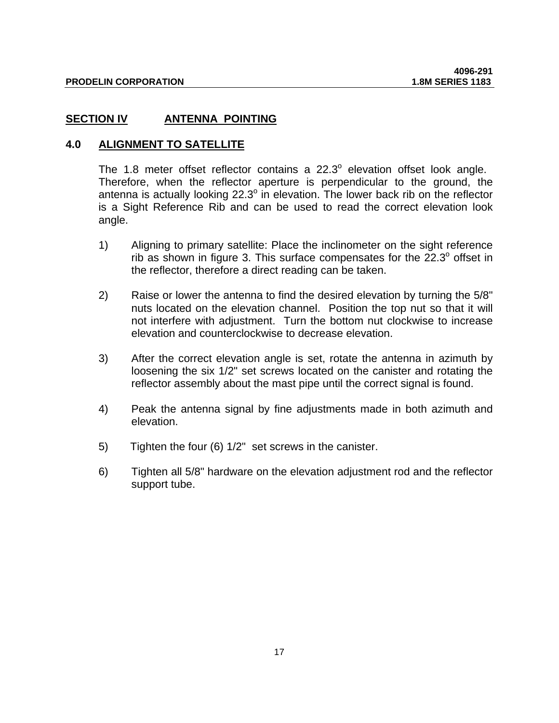### **SECTION IV ANTENNA POINTING**

### **4.0 ALIGNMENT TO SATELLITE**

The 1.8 meter offset reflector contains a  $22.3^\circ$  elevation offset look angle. Therefore, when the reflector aperture is perpendicular to the ground, the antenna is actually looking  $22.3^\circ$  in elevation. The lower back rib on the reflector is a Sight Reference Rib and can be used to read the correct elevation look angle.

- 1) Aligning to primary satellite: Place the inclinometer on the sight reference rib as shown in figure 3. This surface compensates for the  $22.3^{\circ}$  offset in the reflector, therefore a direct reading can be taken.
- 2) Raise or lower the antenna to find the desired elevation by turning the 5/8" nuts located on the elevation channel. Position the top nut so that it will not interfere with adjustment. Turn the bottom nut clockwise to increase elevation and counterclockwise to decrease elevation.
- 3) After the correct elevation angle is set, rotate the antenna in azimuth by loosening the six 1/2" set screws located on the canister and rotating the reflector assembly about the mast pipe until the correct signal is found.
- 4) Peak the antenna signal by fine adjustments made in both azimuth and elevation.
- 5) Tighten the four (6) 1/2" set screws in the canister.
- 6) Tighten all 5/8" hardware on the elevation adjustment rod and the reflector support tube.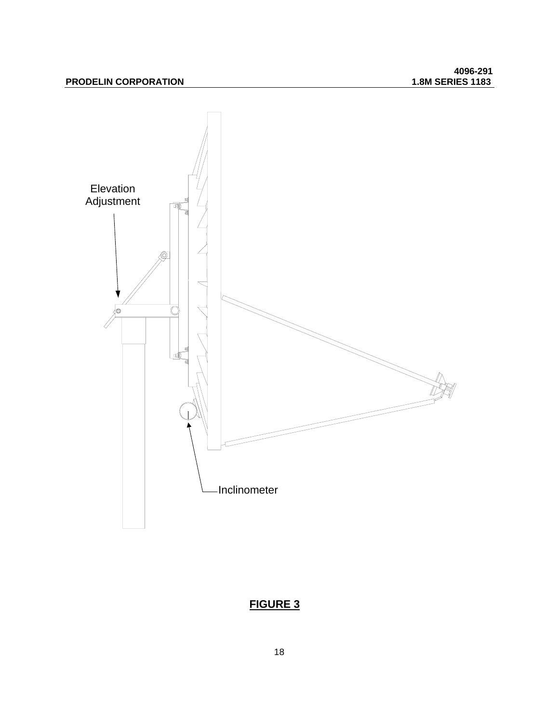

# **FIGURE 3**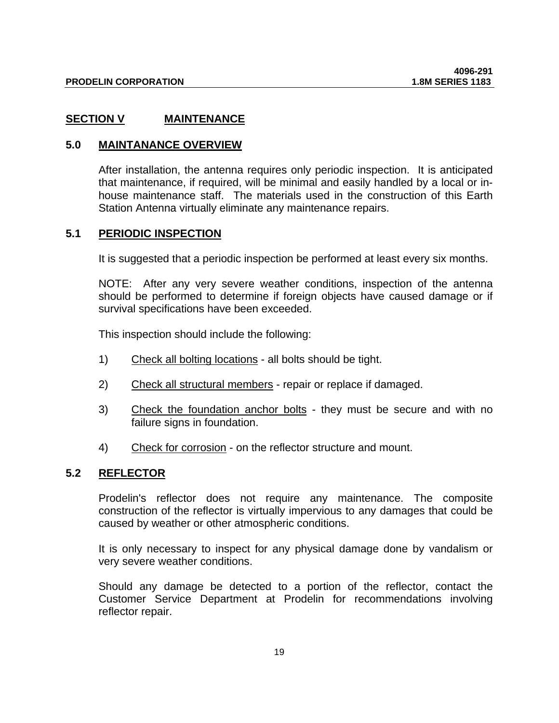### **SECTION V MAINTENANCE**

### **5.0 MAINTANANCE OVERVIEW**

After installation, the antenna requires only periodic inspection. It is anticipated that maintenance, if required, will be minimal and easily handled by a local or inhouse maintenance staff. The materials used in the construction of this Earth Station Antenna virtually eliminate any maintenance repairs.

### **5.1 PERIODIC INSPECTION**

It is suggested that a periodic inspection be performed at least every six months.

NOTE: After any very severe weather conditions, inspection of the antenna should be performed to determine if foreign objects have caused damage or if survival specifications have been exceeded.

This inspection should include the following:

- 1) Check all bolting locations all bolts should be tight.
- 2) Check all structural members repair or replace if damaged.
- 3) Check the foundation anchor bolts they must be secure and with no failure signs in foundation.
- 4) Check for corrosion on the reflector structure and mount.

### **5.2 REFLECTOR**

Prodelin's reflector does not require any maintenance. The composite construction of the reflector is virtually impervious to any damages that could be caused by weather or other atmospheric conditions.

It is only necessary to inspect for any physical damage done by vandalism or very severe weather conditions.

Should any damage be detected to a portion of the reflector, contact the Customer Service Department at Prodelin for recommendations involving reflector repair.